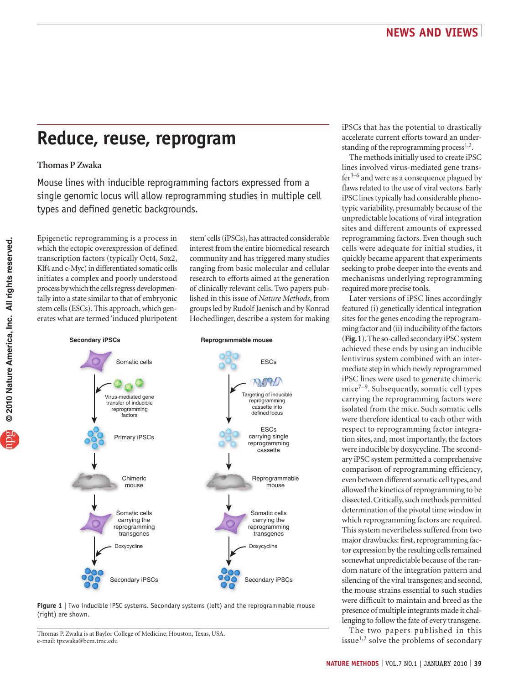## **Reduce, reuse, reprogram**

## **Thomas P Zwaka**

Mouse lines with inducible reprogramming factors expressed from a single genomic locus will allow reprogramming studies in multiple cell types and defined genetic backgrounds.

Epigenetic reprogramming is a process in which the ectopic overexpression of defined transcription factors (typically Oct4, Sox2, Klf4 and c-Myc) in differentiated somatic cells initiates a complex and poorly understood process by which the cells regress developmentally into a state similar to that of embryonic stem cells (ESCs). This approach, which generates what are termed 'induced pluripotent stem' cells (iPSCs), has attracted considerable interest from the entire biomedical research community and has triggered many studies ranging from basic molecular and cellular research to efforts aimed at the generation of clinically relevant cells. Two papers published in this issue of *Nature Methods*, from groups led by Rudolf Jaenisch and by Konrad Hochedlinger, describe a system for making



**Figure 1** | Two inducible iPSC systems. Secondary systems (left) and the reprogrammable mouse (right) are shown.

Thomas P. Zwaka is at Baylor College of Medicine, Houston, Texas, USA. e-mail: [tpzwaka@bcm.tmc.edu](mailto:tpzwaka@bcm.tmc.edu) 

iPSCs that has the potential to drastically accelerate current efforts toward an understanding of the reprogramming process $^{1,2}$ .

The methods initially used to create iPSC lines involved virus-mediated gene trans $fer<sup>3–6</sup>$  and were as a consequence plagued by flaws related to the use of viral vectors. Early iPSC lines typically had considerable phenotypic variability, presumably because of the unpredictable locations of viral integration sites and different amounts of expressed reprogramming factors. Even though such cells were adequate for initial studies, it quickly became apparent that experiments seeking to probe deeper into the events and mechanisms underlying reprogramming required more precise tools.

Later versions of iPSC lines accordingly featured (i) genetically identical integration sites for the genes encoding the reprogramming factor and (ii) inducibility of the factors (**Fig. 1**). The so-called secondary iPSC system achieved these ends by using an inducible lentivirus system combined with an intermediate step in which newly reprogrammed iPSC lines were used to generate chimeric  $mice^{7-9}$ . Subsequently, somatic cell types carrying the reprogramming factors were isolated from the mice. Such somatic cells were therefore identical to each other with respect to reprogramming factor integration sites, and, most importantly, the factors were inducible by doxycycline. The secondary iPSC system permitted a comprehensive comparison of reprogramming efficiency, even between different somatic cell types, and allowed the kinetics of reprogramming to be dissected. Critically, such methods permitted determination of the pivotal time window in which reprogramming factors are required. This system nevertheless suffered from two major drawbacks: first, reprogramming factor expression by the resulting cells remained somewhat unpredictable because of the random nature of the integration pattern and silencing of the viral transgenes; and second, the mouse strains essential to such studies were difficult to maintain and breed as the presence of multiple integrants made it challenging to follow the fate of every transgene.

The two papers published in this issue<sup>1,2</sup> solve the problems of secondary